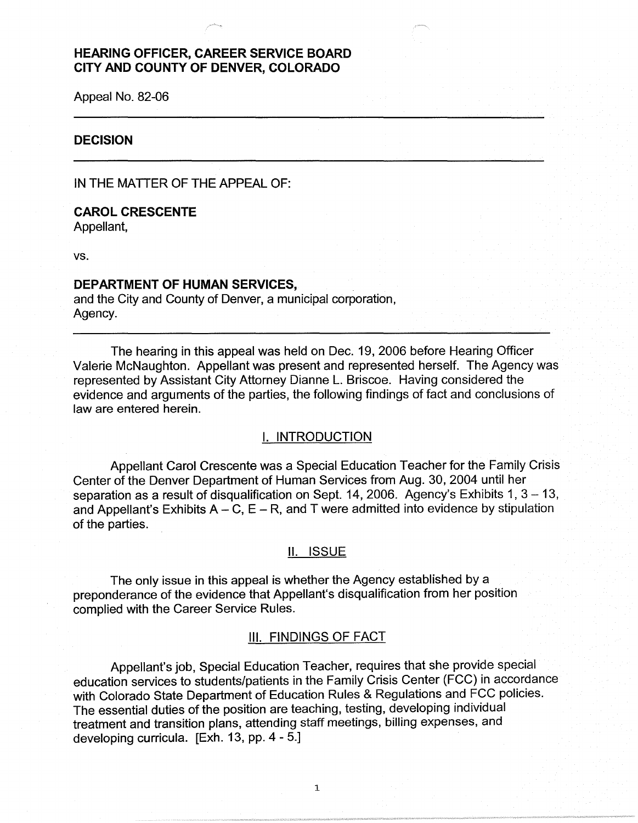# **HEARING OFFICER, CAREER SERVICE BOARD CITY AND COUNTY OF DENVER, COLORADO**

Appeal No. 82-06

### **DECISION**

IN THE MATTER OF THE APPEAL OF:

## **CAROL CRESCENTE**  Appellant,

vs.

#### **DEPARTMENT OF HUMAN SERVICES,**

and the City and County of Denver, a municipal corporation, Agency.

The hearing in this appeal was held on Dec. 19, 2006 before Hearing Officer Valerie McNaughton. Appellant was present and represented herself. The Agency was represented by Assistant City Attorney Dianne L. Briscoe. Having considered the evidence and arguments of the parties, the following findings of fact and conclusions of law are entered herein.

# I. INTRODUCTION

Appellant Carol Crescente was a Special Education Teacher for the Family Crisis Center of the Denver Department of Human Services from Aug. 30, 2004 until her separation as a result of disqualification on Sept. 14, 2006. Agency's Exhibits 1,  $3 - 13$ , and Appellant's Exhibits  $A - C$ ,  $E - R$ , and T were admitted into evidence by stipulation of the parties.

### II. ISSUE

The only issue in this appeal is whether the Agency established by a preponderance of the evidence that Appellant's disqualification from her position complied with the Career Service Rules.

#### III. FINDINGS OF FACT

Appellant's job, Special Education Teacher, requires that she provide special education services to students/patients in the Family Crisis Center (FCC) in accordance with Colorado State Department of Education Rules & Regulations and FCC policies. The essential duties of the position are teaching, testing, developing individual treatment and transition plans, attending staff meetings, billing expenses, and developing curricula. [Exh. 13, pp. 4 - 5.]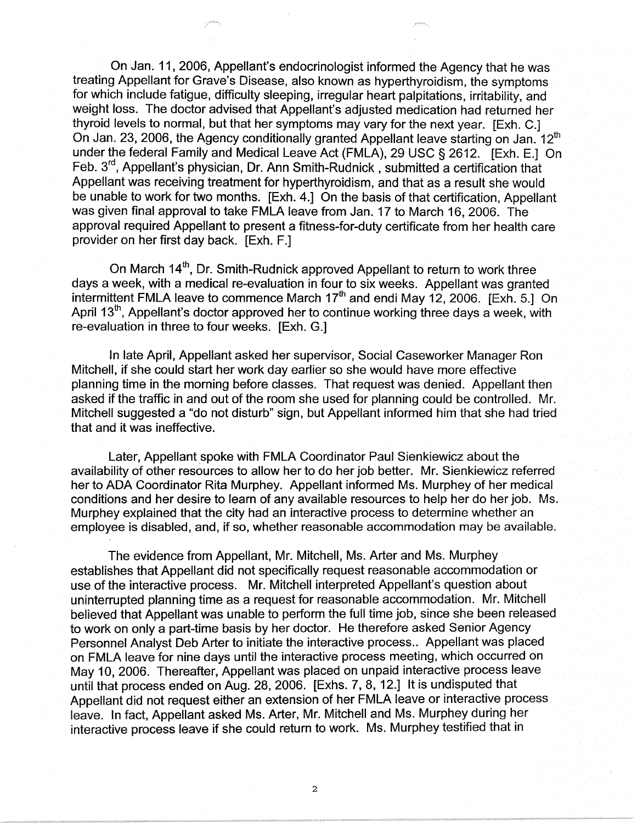On Jan. 11, 2006, Appellant's endocrinologist informed the Agency that he was treating Appellant for Grave's Disease, also known as hyperthyroidism, the symptoms for which include fatigue, difficulty sleeping, irregular heart palpitations, irritability, and weight loss. The doctor advised that Appellant's adjusted medication had returned her thyroid levels to normal, but that her symptoms may vary for the next year. [Exh. C.] On Jan. 23, 2006, the Agency conditionally granted Appellant leave starting on Jan.  $12<sup>th</sup>$ under the federal Family and Medical Leave Act (FMLA), 29 USC§ 2612. [Exh. E.] On Feb. 3rd , Appellant's physician, Dr. Ann Smith-Rudnick, submitted a certification that Appellant was receiving treatment for hyperthyroidism, and that as a result she would be unable to work for two months. [Exh. 4.] On the basis of that certification, Appellant was given final approval to take FMLA leave from Jan. 17 to March 16, 2006. The approval required Appellant to present a fitness-for-duty certificate from her health care provider on her first day back. [Exh. F.]

On March 14<sup>th</sup>, Dr. Smith-Rudnick approved Appellant to return to work three days a week, with a medical re-evaluation in four to six weeks. Appellant was granted intermittent FMLA leave to commence March  $17<sup>th</sup>$  and endi May 12, 2006. [Exh. 5.] On April 13<sup>th</sup>, Appellant's doctor approved her to continue working three days a week, with re-evaluation in three to four weeks. [Exh. G.]

In late April, Appellant asked her supervisor, Social Caseworker Manager Ron Mitchell, if she could start her work day earlier so she would have more effective planning time in the morning before classes. That request was denied. Appellant then asked if the traffic in and out of the room she used for planning could be controlled. Mr. Mitchell suggested a "do not disturb" sign, but Appellant informed him that she had tried that and it was ineffective.

Later, Appellant spoke with FMLA Coordinator Paul Sienkiewicz about the availability of other resources to allow her to do her job better. Mr. Sienkiewicz referred her to ADA Coordinator Rita Murphey. Appellant informed Ms. Murphey of her medical conditions and her desire to learn of any available resources to help her do her job. Ms. Murphey explained that the city had an interactive process to determine whether an employee is disabled, and, if so, whether reasonable accommodation may be available.

The evidence from Appellant, Mr. Mitchell, Ms. Arter and Ms. Murphey establishes that Appellant did not specifically request reasonable accommodation or use of the interactive process. Mr. Mitchell interpreted Appellant's question about uninterrupted planning time as a request for reasonable accommodation. Mr. Mitchell believed that Appellant was unable to perform the full time job, since she been released to work on only a part-time basis by her doctor. He therefore asked Senior Agency Personnel Analyst Deb Arter to initiate the interactive process.. Appellant was placed on FMLA leave for nine days until the interactive process meeting, which occurred on May 10, 2006. Thereafter, Appellant was placed on unpaid interactive process leave until that process ended on Aug. 28, 2006. [Exhs. 7, 8, 12.] It is undisputed that Appellant did not request either an extension of her FMLA leave or interactive process leave. In fact, Appellant asked Ms. Arter, Mr. Mitchell and Ms. Murphey during her interactive process leave if she could return to work. Ms. Murphey testified that in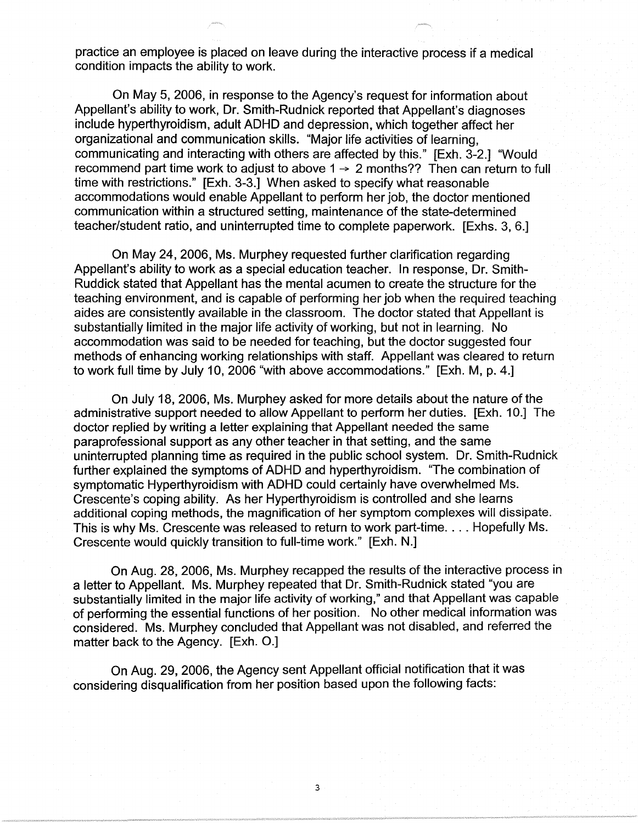practice an employee is placed on leave during the interactive process if a medical condition impacts the ability to work.

On May 5, 2006, in response to the Agency's request for information about Appellant's ability to work, Dr. Smith-Rudnick reported that Appellant's diagnoses include hyperthyroidism, adult ADHD and depression, which together affect her organizational and communication skills. "Major life activities of learning, communicating and interacting with others are affected by this." [Exh. 3-2.] "Would recommend part time work to adjust to above  $1 \rightarrow 2$  months?? Then can return to full time with restrictions." [Exh. 3-3.] When asked to specify what reasonable accommodations would enable Appellant to perform her job, the doctor mentioned communication within a structured setting, maintenance of the state-determined teacher/student ratio, and uninterrupted time to complete paperwork. [Exhs. 3, 6.]

On May 24, 2006, Ms. Murphey requested further clarification regarding Appellant's ability to work as a special education teacher. In response, Dr. Smith-Ruddick stated that Appellant has the mental acumen to create the structure for the teaching environment, and is capable of performing her job when the required teaching aides are consistently available in the classroom. The doctor stated that Appellant is substantially limited in the major life activity of working, but not in learning. No accommodation was said to be needed for teaching, but the doctor suggested four methods of enhancing working relationships with staff. Appellant was cleared to return to work full time by July 10, 2006 "with above accommodations." [Exh. M, p. 4.]

On July 18, 2006, Ms. Murphey asked for more details about the nature of the administrative support needed to allow Appellant to perform her duties. [Exh. 10.] The doctor replied by writing a letter explaining that Appellant needed the same paraprofessional support as any other teacher in that setting, and the same uninterrupted planning time as required in the public school system. Dr. Smith-Rudnick further explained the symptoms of ADHD and hyperthyroidism. "The combination of symptomatic Hyperthyroidism with ADHD could certainly have overwhelmed Ms. Crescente's coping ability. As her Hyperthyroidism is controlled and she learns additional coping methods, the magnification of her symptom complexes will dissipate. This is why Ms. Crescente was released to return to work part-time .... Hopefully Ms. Crescente would quickly transition to full-time work." [Exh. N.]

On Aug. 28, 2006, Ms. Murphey recapped the results of the interactive process in a letter to Appellant. Ms. Murphey repeated that Dr. Smith-Rudnick stated "you are substantially limited in the major life activity of working," and that Appellant was capable of performing the essential functions of her position. No other medical information was considered. Ms. Murphey concluded that Appellant was not disabled, and referred the matter back to the Agency. [Exh. O.]

3

On Aug. 29, 2006, the Agency sent Appellant official notification that it was considering disqualification from her position based upon the following facts: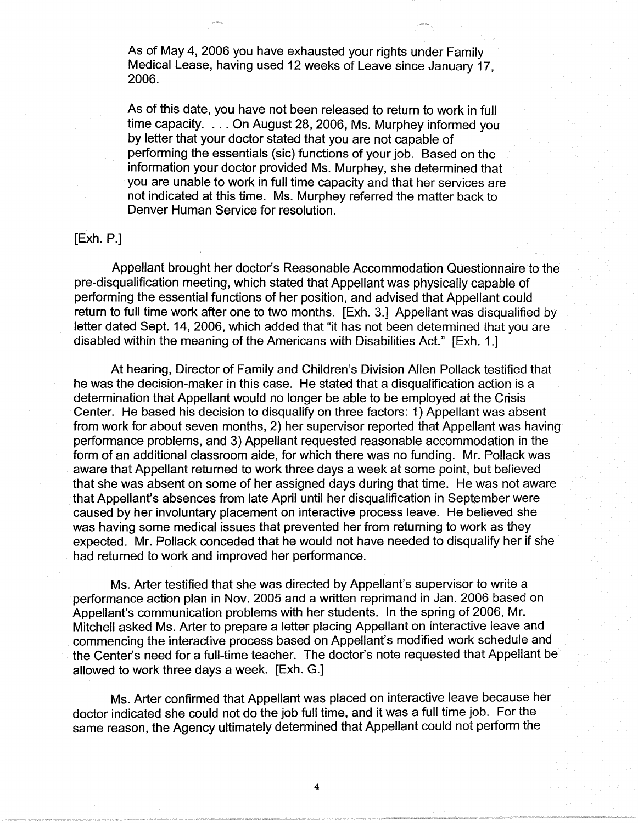As of May 4, 2006 you have exhausted your rights under Family Medical Lease, having used 12 weeks of Leave since January 17, 2006.

As of this date, you have not been released to return to work in full time capacity. . .. On August 28, 2006, Ms. Murphey informed you by letter that your doctor stated that you are not capable of performing the essentials (sic) functions of your job. Based on the information your doctor provided Ms. Murphey, she determined that you are unable to work in full time capacity and that her services are not indicated at this time. Ms. Murphey referred the matter back to Denver Human Service for resolution.

## [Exh. P.]

Appellant brought her doctor's Reasonable Accommodation Questionnaire to the pre-disqualification meeting, which stated that Appellant was physically capable of performing the essential functions of her position, and advised that Appellant could return to full time work after one to two months. [Exh. 3.] Appellant was disqualified by letter dated Sept. 14, 2006, which added that "it has not been determined that you are disabled within the meaning of the Americans with Disabilities Act." [Exh. 1.]

At hearing, Director of Family and Children's Division Allen Pollack testified that he was the decision-maker in this case. He stated that a disqualification action is a determination that Appellant would no longer be able to be employed at the Crisis Center. He based his decision to disqualify on three factors: 1) Appellant was absent from work for about seven months, 2) her supervisor reported that Appellant was having performance problems, and 3) Appellant requested reasonable accommodation in the form of an additional classroom aide, for which there was no funding. Mr. Pollack was aware that Appellant returned to work three days a week at some point, but believed that she was absent on some of her assigned days during that time. He was not aware that Appellant's absences from late April until her disqualification in September were caused by her involuntary placement on interactive process leave. He believed she was having some medical issues that prevented her from returning to work as they expected. Mr. Pollack conceded that he would not have needed to disqualify her if she had returned to work and improved her performance.

Ms. Arter testified that she was directed by Appellant's supervisor to write a performance action plan in Nov. 2005 and a written reprimand in Jan. 2006 based on Appellant's communication problems with her students. In the spring of 2006, Mr. Mitchell asked Ms. Arter to prepare a letter placing Appellant on interactive leave and commencing the interactive process based on Appellant's modified work schedule and the Center's need for a full-time teacher. The doctor's note requested that Appellant be allowed to work three days a week. [Exh. G.]

Ms. Arter confirmed that Appellant was placed on interactive leave because her doctor indicated she could not do the job full time, and it was a full time job. For the same reason, the Agency ultimately determined that Appellant could not perform the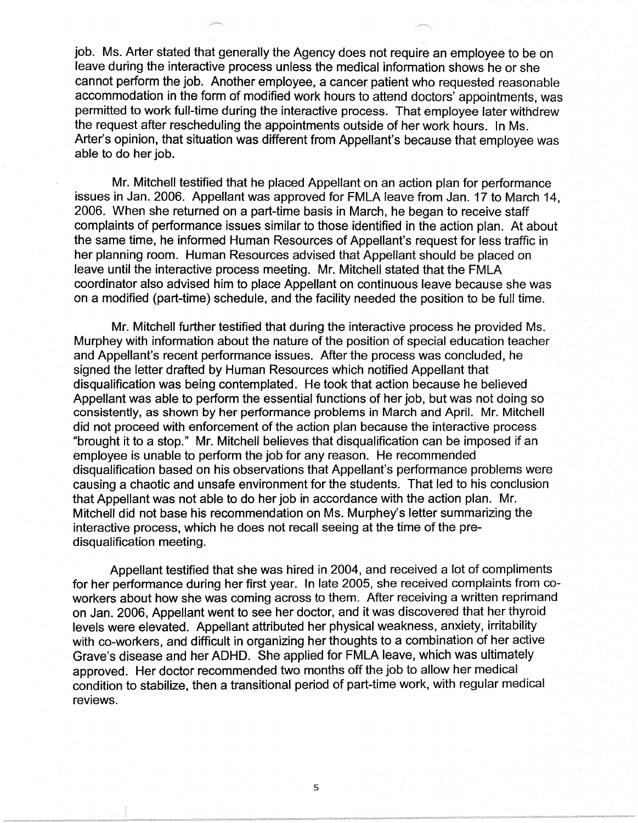job. Ms. Arter stated that generally the Agency does not require an employee to be on leave during the interactive process unless the medical information shows he or she cannot perform the job. Another employee, a cancer patient who requested reasonable accommodation in the form of modified work hours to attend doctors' appointments, was permitted to work full-time during the interactive process. That employee later withdrew the request after rescheduling the appointments outside of her work hours. In Ms. Arter's opinion, that situation was different from Appellant's because that employee was able to do her job.

Mr. Mitchell testified that he placed Appellant on an action plan for performance issues in Jan. 2006. Appellant was approved for FMLA leave from Jan. 17 to March 14, 2006. When she returned on a part-time basis in March, he began to receive staff complaints of performance issues similar to those identified in the action plan. At about the same time, he informed Human Resources of Appellant's request for less traffic in her planning room. Human Resources advised that Appellant should be placed on leave until the interactive process meeting. Mr. Mitchell stated that the FMLA coordinator also advised him to place Appellant on continuous leave because she was on a modified (part-time) schedule, and the facility needed the position to be full time.

Mr. Mitchell further testified that during the interactive process he provided Ms. Murphey with information about the nature of the position of special education teacher and Appellant's recent performance issues. After the process was concluded, he signed the letter drafted by Human Resources which notified Appellant that disqualification was being contemplated. He took that action because he believed Appellant was able to perform the essential functions of her job, but was not doing so consistently, as shown by her performance problems in March and April. Mr. Mitchell did not proceed with enforcement of the action plan because the interactive process "brought it to a stop." Mr. Mitchell believes that disqualification can be imposed if an employee is unable to perform the job for any reason. He recommended disqualification based on his observations that Appellant's performance problems were causing a chaotic and unsafe environment for the students. That led to his conclusion that Appellant was not able to do her job in accordance with the action plan. Mr. Mitchell did not base his recommendation on Ms. Murphey's letter summarizing the interactive process, which he does not recall seeing at the time of the predisqualification meeting.

Appellant testified that she was hired in 2004, and received a lot of compliments for her performance during her first year. In late 2005, she received complaints from coworkers about how she was coming across to them. After receiving a written reprimand on Jan. 2006, Appellant went to see her doctor, and it was discovered that her thyroid levels were elevated. Appellant attributed her physical weakness, anxiety, irritability with co-workers, and difficult in organizing her thoughts to a combination of her active Grave's disease and her ADHD. She applied for FMLA leave, which was ultimately approved. Her doctor recommended two months off the job to allow her medical condition to stabilize, then a transitional period of part-time work, with regular medical reviews.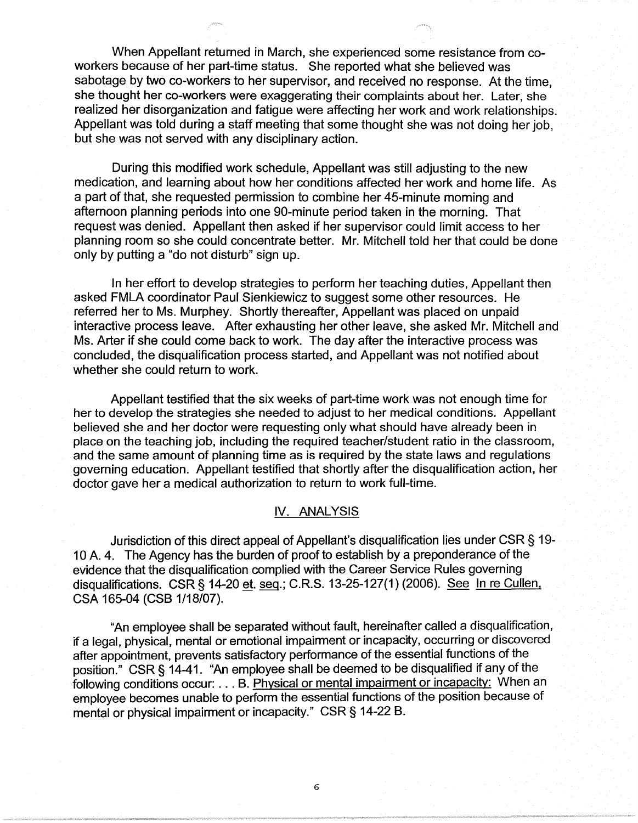When Appellant returned in March, she experienced some resistance from coworkers because of her part-time status. She reported what she believed was sabotage by two co-workers to her supervisor, and received no response. At the time, she thought her co-workers were exaggerating their complaints about her. Later, she realized her disorganization and fatigue were affecting her work and work relationships. Appellant was told during a staff meeting that some thought she was not doing her job, but she was not served with any disciplinary action.

During this modified work schedule, Appellant was still adjusting to the new medication, and learning about how her conditions affected her work and home life. As a part of that, she requested permission to combine her 45-minute morning and afternoon planning periods into one 90-minute period taken in the morning. That request was denied. Appellant then asked if her supervisor could limit access to her planning room so she could concentrate better. Mr. Mitchell told her that could be done only by putting a "do not disturb" sign up.

In her effort to develop strategies to perform her teaching duties, Appellant then asked FMLA coordinator Paul Sienkiewicz to suggest some other resources. He referred her to Ms. Murphey. Shortly thereafter, Appellant was placed on unpaid interactive process leave. After exhausting her other leave, she asked Mr. Mitchell and Ms. Arter if she could come back to work. The day after the interactive process was concluded, the disqualification process started, and Appellant was not notified about whether she could return to work.

Appellant testified that the six weeks of part-time work was not enough time for her to develop the strategies she needed to adjust to her medical conditions. Appellant believed she and her doctor were requesting only what should have already been in place on the teaching job, including the required teacher/student ratio in the classroom, and the same amount of planning time as is required by the state laws and regulations governing education. Appellant testified that shortly after the disqualification action, her doctor gave her a medical authorization to return to work full-time.

# **IV. ANALYSIS**

Jurisdiction of this direct appeal of Appellant's disqualification lies under CSR § 19- 1 0 A. 4. The Agency has the burden of proof to establish by a preponderance of the evidence that the disqualification complied with the Career Service Rules governing disqualifications. CSR§ 14-20 et. seq.; C.R.S. 13-25-127(1) (2006). See In re Cullen, CSA 165-04 (CSB 1/18/07).

"An employee shall be separated without fault, hereinafter called a disqualification, if a legal, physical, mental or emotional impairment or incapacity, occurring or discovered after appointment, prevents satisfactory performance of the essential functions of the position." CSR§ 14-41. "An employee shall be deemed to be disqualified if any of the following conditions occur: ... B. Physical or mental impairment or incapacity: When an employee becomes unable to perform the essential functions of the position because of mental or physical impairment or incapacity." CSR§ 14-22 B.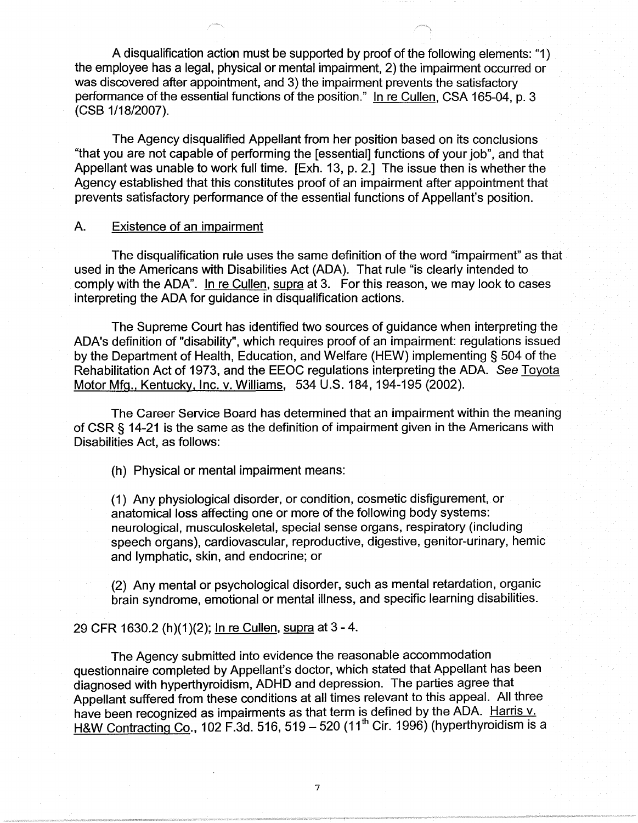A disqualification action must be supported by proof of the following elements: "1) the employee has a legal, physical or mental impairment, 2) the impairment occurred or was discovered after appointment, and 3) the impairment prevents the satisfactory performance of the essential functions of the position." In re Cullen, CSA 165-04, p. 3 (CSB 1/18/2007).

The Agency disqualified Appellant from her position based on its conclusions "that you are not capable of performing the [essential] functions of your job", and that Appellant was unable to work full time. [Exh. 13, p. 2.] The issue then is whether the Agency established that this constitutes proof of an impairment after appointment that prevents satisfactory performance of the essential functions of Appellant's position.

# A. Existence of an impairment

The disqualification rule uses the same definition of the word "impairment" as that used in the Americans with Disabilities Act (ADA). That rule "is clearly intended to comply with the ADA". In re Cullen, supra at 3. For this reason, we may look to cases interpreting the ADA for guidance in disqualification actions.

The Supreme Court has identified two sources of guidance when interpreting the ADA's definition of "disability", which requires proof of an impairment: regulations issued by the Department of Health, Education, and Welfare (HEW) implementing § 504 of the Rehabilitation Act of 1973, and the EEOC regulations interpreting the ADA. See Toyota Motor Mfg., Kentucky, Inc. v. Williams, 534 U.S. 184, 194-195 (2002).

The Career Service Board has determined that an impairment within the meaning of CSR § 14-21 is the same as the definition of impairment given in the Americans with Disabilities Act, as follows:

(h) Physical or mental impairment means:

(1) Any physiological disorder, or condition, cosmetic disfigurement, or anatomical loss affecting one or more of the following body systems: neurological, musculoskeletal, special sense organs, respiratory (including speech organs), cardiovascular, reproductive, digestive, genitor-urinary, hemic and lymphatic, skin, and endocrine; or

(2) Any mental or psychological disorder, such as mental retardation, organic brain syndrome, emotional or mental illness, and specific learning disabilities.

## 29 CFR 1630.2 (h)(1)(2); In re Cullen, supra at 3 -4.

The Agency submitted into evidence the reasonable accommodation questionnaire completed by Appellant's doctor, which stated that Appellant has been diagnosed with hyperthyroidism, ADHD and depression. The parties agree that Appellant suffered from these conditions at all times relevant to this appeal. All three have been recognized as impairments as that term is defined by the ADA. Harris v. H&W Contracting Co., 102 F.3d. 516, 519 - 520 (11<sup>th</sup> Cir. 1996) (hyperthyroidism is a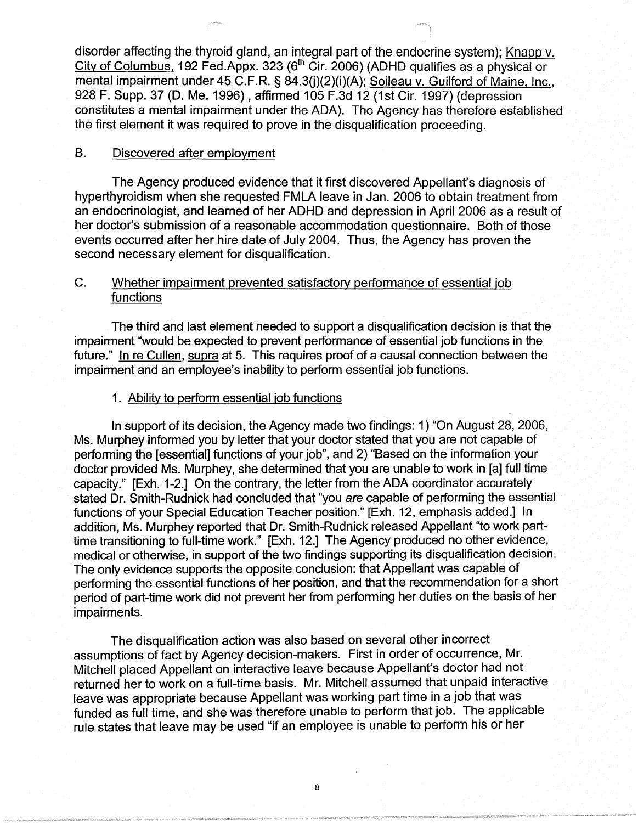disorder affecting the thyroid gland, an integral part of the endocrine system); Knapp v. City of Columbus, 192 Fed.Appx. 323 ( $6<sup>th</sup>$  Cir. 2006) (ADHD qualifies as a physical or mental impairment under 45 C.F.R. § 84.3(j)(2)(i)(A); Soileau v. Guilford of Maine, Inc., 928 F. Supp. 37 (D. Me. 1996), affirmed 105 F.3d 12 (1st Cir. 1997) (depression constitutes a mental impairment under the ADA). The Agency has therefore established the first element it was required to prove in the disqualification proceeding.

# B. Discovered after employment

The Agency produced evidence that it first discovered Appellant's diagnosis of hyperthyroidism when she requested FMLA leave in Jan. 2006 to obtain treatment from an endocrinologist, and learned of her ADHD and depression in April 2006 as a result of her doctor's submission of a reasonable accommodation questionnaire. Both of those events occurred after her hire date of July 2004. Thus, the Agency has proven the second necessary element for disqualification.

# C. Whether impairment prevented satisfactory performance of essential job functions

The third and last element needed to support a disqualification decision is that the impairment "would be expected to prevent performance of essential job functions in the future." In re Cullen, supra at 5. This requires proof of a causal connection between the impairment and an employee's inability to perform essential job functions.

## 1. Ability to perform essential job functions

In support of its decision, the Agency made two findings: 1) "On August 28, 2006, Ms. Murphey informed you by letter that your doctor stated that you are not capable of performing the [essential] functions of your job", and 2) "Based on the information your doctor provided Ms. Murphey, she determined that you are unable to work in [a] full time capacity." [Exh. 1-2.] On the contrary, the letter from the ADA coordinator accurately stated Dr. Smith-Rudnick had concluded that "you are capable of performing the essential functions of your Special Education Teacher position." [Exh. 12, emphasis added.] In addition, Ms. Murphey reported that Dr. Smith-Rudnick released Appellant "to work parttime transitioning to full-time work." [Exh. 12.] The Agency produced no other evidence, medical or otherwise, in support of the two findings supporting its disqualification decision. The only evidence supports the opposite conclusion: that Appellant was capable of performing the essential functions of her position, and that the recommendation for a short period of part-time work did not prevent her from performing her duties on the basis of her impairments.

The disqualification action was also based on several other incorrect assumptions of fact by Agency decision-makers. First in order of occurrence, Mr. Mitchell placed Appellant on interactive leave because Appellant's doctor had not returned her to work on a full-time basis. Mr. Mitchell assumed that unpaid interactive leave was appropriate because Appellant was working part time in a job that was funded as full time, and she was therefore unable to perform that job. The applicable rule states that leave may be used "if an employee is unable to perform his or her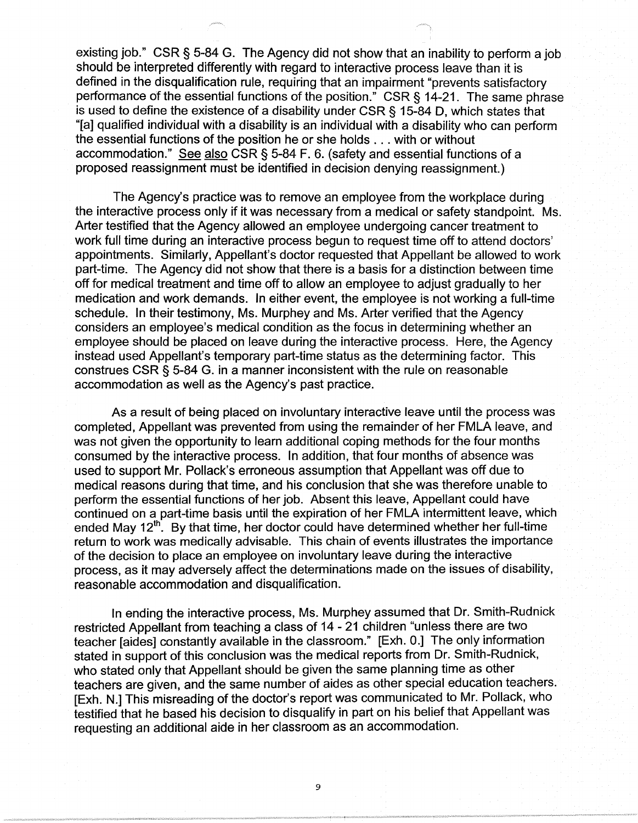existing job." CSR § 5-84 G. The Agency did not show that an inability to perform a job should be interpreted differently with regard to interactive process leave than it is defined in the disqualification rule, requiring that an impairment "prevents satisfactory performance of the essential functions of the position." CSR§ 14-21. The same phrase is used to define the existence of a disability under CSR § 15-84 D, which states that "[a] qualified individual with a disability is an individual with a disability who can perform the essential functions of the position he or she holds ... with or without accommodation." See also CSR § 5-84 F. 6. (safety and essential functions of a proposed reassignment must be identified in decision denying reassignment.)

The Agency's practice was to remove an employee from the workplace during the interactive process only if it was necessary from a medical or safety standpoint. Ms. Arter testified that the Agency allowed an employee undergoing cancer treatment to work full time during an interactive process begun to request time off to attend doctors' appointments. Similarly, Appellant's doctor requested that Appellant be allowed to work part-time. The Agency did not show that there is a basis for a distinction between time off for medical treatment and time off to allow an employee to adjust gradually to her medication and work demands. In either event, the employee is not working a full-time schedule. In their testimony, Ms. Murphey and Ms. Arter verified that the Agency considers an employee's medical condition as the focus in determining whether an employee should be placed on leave during the interactive process. Here, the Agency instead used Appellant's temporary part-time status as the determining factor. This construes CSR § 5-84 G. in a manner inconsistent with the rule on reasonable accommodation as well as the Agency's past practice.

As a result of being placed on involuntary interactive leave until the process was completed, Appellant was prevented from using the remainder of her FMLA leave, and was not given the opportunity to learn additional coping methods for the four months consumed by the interactive process. In addition, that four months of absence was used to support Mr. Pollack's erroneous assumption that Appellant was off due to medical reasons during that time, and his conclusion that she was therefore unable to perform the essential functions of her job. Absent this leave, Appellant could have continued on a part-time basis until the expiration of her FMLA intermittent leave, which ended May  $12^{th}$ . By that time, her doctor could have determined whether her full-time return to work was medically advisable. This chain of events illustrates the importance of the decision to place an employee on involuntary leave during the interactive process, as it may adversely affect the determinations made on the issues of disability, reasonable accommodation and disqualification.

In ending the interactive process, Ms. Murphey assumed that Dr. Smith-Rudnick restricted Appellant from teaching a class of 14 - 21 children "unless there are two teacher [aides] constantly available in the classroom." [Exh. O.] The only information stated in support of this conclusion was the medical reports from Dr. Smith-Rudnick, who stated only that Appellant should be given the same planning time as other teachers are given, and the same number of aides as other special education teachers. [Exh. N.] This misreading of the doctor's report was communicated to Mr. Pollack, who testified that he based his decision to disqualify in part on his belief that Appellant was requesting an additional aide in her classroom as an accommodation.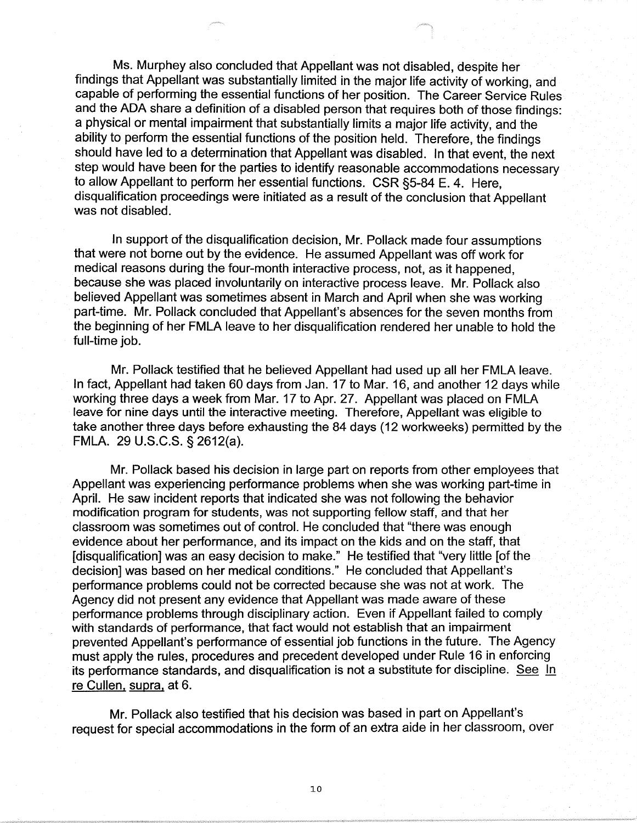Ms. Murphey also concluded that Appellant was not disabled, despite her findings that Appellant was substantially limited in the major life activity of working, and capable of performing the essential functions of her position. The Career Service Rules and the ADA share a definition of a disabled person that requires both of those findings: a physical or mental impairment that substantially limits a major life activity, and the ability to perform the essential functions of the position held. Therefore, the findings should have led to a determination that Appellant was disabled. In that event, the next step would have been for the parties to identify reasonable accommodations necessary to allow Appellant to perform her essential functions. CSR §5-84 E. 4. Here, disqualification proceedings were initiated as a result of the conclusion that Appellant was not disabled.

In support of the disqualification decision, Mr. Pollack made four assumptions that were not borne out by the evidence. He assumed Appellant was off work for medical reasons during the four-month interactive process, not, as it happened, because she was placed involuntarily on interactive process leave. Mr. Pollack also believed Appellant was sometimes absent in March and April when she was working part-time. Mr. Pollack concluded that Appellant's absences for the seven months from the beginning of her FMLA leave to her disqualification rendered her unable to hold the full-time job.

Mr. Pollack testified that he believed Appellant had used up all her FMLA leave. In fact, Appellant had taken 60 days from Jan. 17 to Mar. 16, and another 12 days while working three days a week from Mar. 17 to Apr. 27. Appellant was placed on FMLA leave for nine days until the interactive meeting. Therefore, Appellant was eligible to take another three days before exhausting the 84 days ( 12 workweeks) permitted by the FMLA. 29 U.S.C.S. § 2612(a).

Mr. Pollack based his decision in large part on reports from other employees that Appellant was experiencing performance problems when she was working part-time in April. He saw incident reports that indicated she was not following the behavior modification program for students, was not supporting fellow staff, and that her classroom was sometimes out of control. He concluded that "there was enough evidence about her performance, and its impact on the kids and on the staff, that [disqualification] was an easy decision to make." He testified that "very little [of the decision] was based on her medical conditions." He concluded that Appellant's performance problems could not be corrected because she was not at work. The Agency did not present any evidence that Appellant was made aware of these performance problems through disciplinary action. Even if Appellant failed to comply with standards of performance, that fact would not establish that an impairment prevented Appellant's performance of essential job functions in the future. The Agency must apply the rules, procedures and precedent developed under Rule 16 in enforcing its performance standards, and disqualification is not a substitute for discipline. See In re Cullen. supra. at 6.

Mr. Pollack also testified that his decision was based in part on Appellant's request for special accommodations in the form of an extra aide in her classroom, over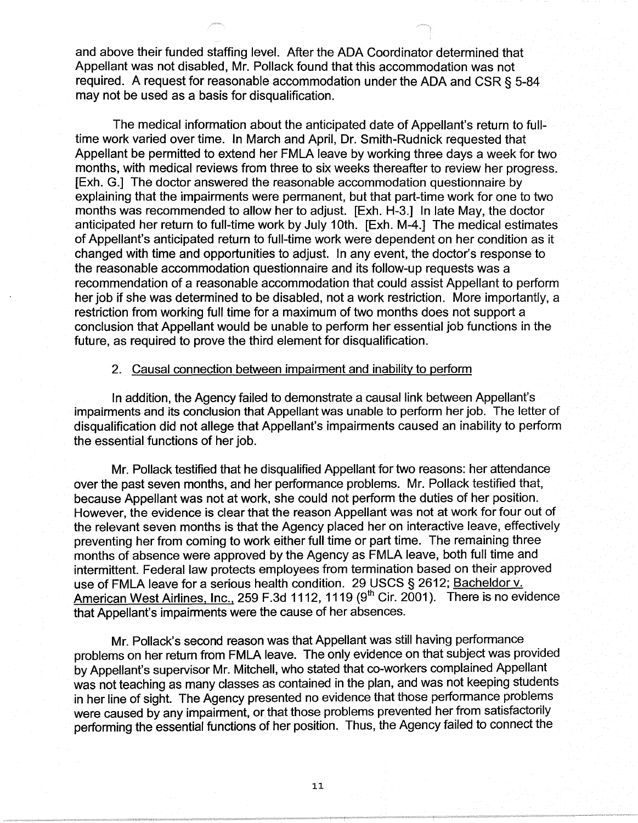and above their funded staffing level. After the ADA Coordinator determined that Appellant was not disabled, Mr. Pollack found that this accommodation was not required. A request for reasonable accommodation under the ADA and CSR§ 5-84 may not be used as a basis for disqualification.

The medical information about the anticipated date of Appellant's return to fulltime work varied over time. In March and April, Dr. Smith-Rudnick requested that Appellant be permitted to extend her FMLA leave by working three days a week for two months, with medical reviews from three to six weeks thereafter to review her progress. [Exh. G.] The doctor answered the reasonable accommodation questionnaire by explaining that the impairments were permanent, but that part-time work for one to two months was recommended to allow her to adjust. [Exh. H-3.] In late May, the doctor anticipated her return to full-time work by July 10th. [Exh. M-4.] The medical estimates of Appellant's anticipated return to full-time work were dependent on her condition as it changed with time and opportunities to adjust. In any event, the doctor's response to the reasonable accommodation questionnaire and its follow-up requests was a recommendation of a reasonable accommodation that could assist Appellant to perform her job if she was determined to be disabled, not a work restriction. More importantly, a restriction from working full time for a maximum of two months does not support a conclusion that Appellant would be unable to perform her essential job functions in the future, as required to prove the third element for disqualification.

#### 2. Causal connection between impairment and inability to perform

In addition, the Agency failed to demonstrate a causal link between Appellant's impairments and its conclusion that Appellant was unable to perform her job. The letter of disqualification did not allege that Appellant's impairments caused an inability to perform the essential functions of her job.

Mr. Pollack testified that he disqualified Appellant for two reasons: her attendance over the past seven months, and her performance problems. Mr. Pollack testified that, because Appellant was not at work, she could not perform the duties of her position. However, the evidence is clear that the reason Appellant was not at work for four out of the relevant seven months is that the Agency placed her on interactive leave, effectively preventing her from coming to work either full time or part time. The remaining three months of absence were approved by the Agency as FMLA leave, both full time and intermittent. Federal law protects employees from termination based on their approved use of FMLA leave for a serious health condition. 29 USCS § 2612; Bacheldor v. American West Airlines, Inc., 259 F.3d 1112, 1119 (9<sup>th</sup> Cir. 2001). There is no evidence that Appellant's impairments were the cause of her absences.

Mr. Pollack's second reason was that Appellant was still having performance problems on her return from FMLA leave. The only evidence on that subject was provided by Appellant's supervisor Mr. Mitchell, who stated that co-workers complained Appellant was not teaching as many classes as contained in the plan, and was not keeping students in her line of sight. The Agency presented no evidence that those performance problems were caused by any impairment, or that those problems prevented her from satisfactorily performing the essential functions of her position. Thus, the Agency failed to connect the